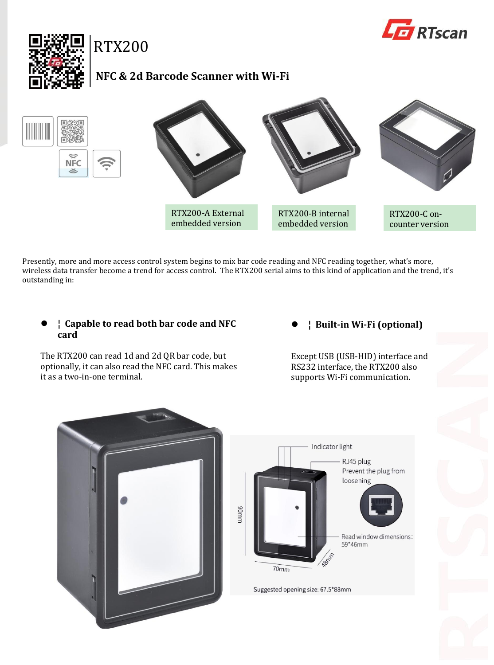



RTX200

# **NFC & 2d Barcode Scanner with Wi-Fi**



Presently, more and more access control system begins to mix bar code reading and NFC reading together, what's more, wireless data transfer become a trend for access control. The RTX200 serial aims to this kind of application and the trend, it's outstanding in:

## **¦ Capable to read both bar code and NFC card**

The RTX200 can read 1d and 2d QR bar code, but optionally, it can also read the NFC card. This makes it as a two-in-one terminal.

## **¦ Built-in Wi-Fi (optional)**

Except USB (USB-HID) interface and RS232 interface, the RTX200 also supports Wi-Fi communication.



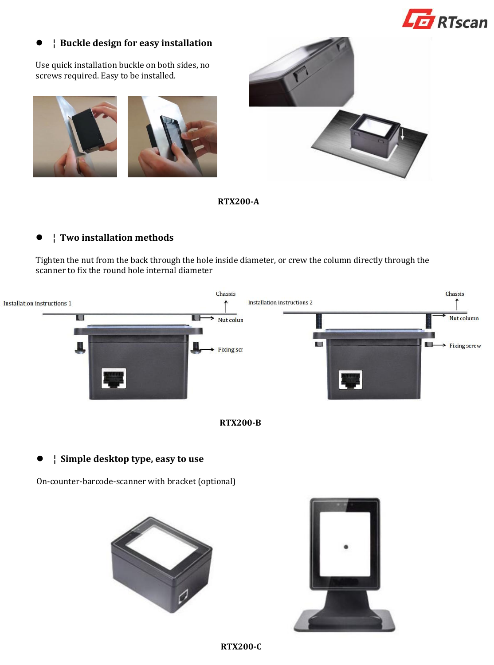

## **¦ Buckle design for easy installation**

Use quick installation buckle on both sides, no screws required. Easy to be installed.





**RTX200-A**

## **¦ Two installation methods**

Tighten the nut from the back through the hole inside diameter, or crew the column directly through the scanner to fix the round hole internal diameter





**¦ Simple desktop type, easy to use**

On-counter-barcode-scanner with bracket (optional)





**RTX200-C**